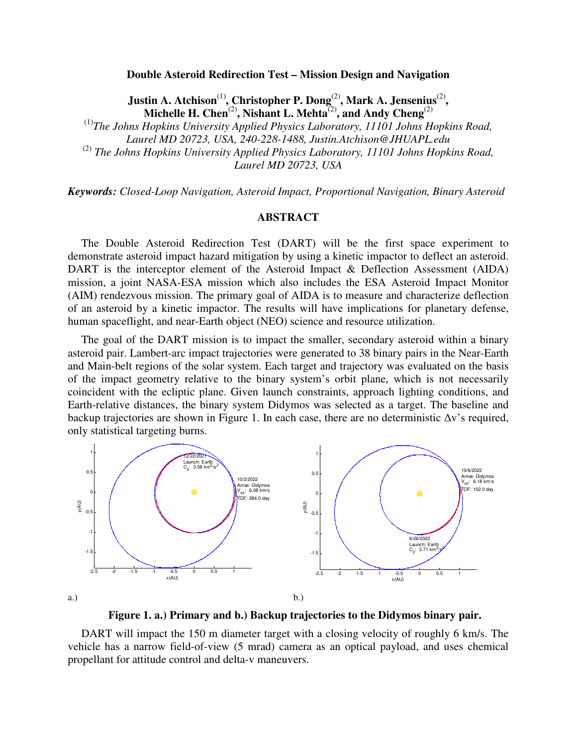## **Double Asteroid Redirection Test – Mission Design and Navigation**

**Justin A. Atchison**(1)**, Christopher P. Dong**(2)**, Mark A. Jensenius**(2) **, Michelle H. Chen**(2)**, Nishant L. Mehta**(2)**, and Andy Cheng**(2)

(1)*The Johns Hopkins University Applied Physics Laboratory, 11101 Johns Hopkins Road, Laurel MD 20723, USA, 240-228-1488, Justin.Atchison@JHUAPL.edu* 

(2) *The Johns Hopkins University Applied Physics Laboratory, 11101 Johns Hopkins Road, Laurel MD 20723, USA*

*Keywords: Closed-Loop Navigation, Asteroid Impact, Proportional Navigation, Binary Asteroid* 

## **ABSTRACT**

The Double Asteroid Redirection Test (DART) will be the first space experiment to demonstrate asteroid impact hazard mitigation by using a kinetic impactor to deflect an asteroid. DART is the interceptor element of the Asteroid Impact & Deflection Assessment (AIDA) mission, a joint NASA-ESA mission which also includes the ESA Asteroid Impact Monitor (AIM) rendezvous mission. The primary goal of AIDA is to measure and characterize deflection of an asteroid by a kinetic impactor. The results will have implications for planetary defense, human spaceflight, and near-Earth object (NEO) science and resource utilization.

The goal of the DART mission is to impact the smaller, secondary asteroid within a binary asteroid pair. Lambert-arc impact trajectories were generated to 38 binary pairs in the Near-Earth and Main-belt regions of the solar system. Each target and trajectory was evaluated on the basis of the impact geometry relative to the binary system's orbit plane, which is not necessarily coincident with the ecliptic plane. Given launch constraints, approach lighting conditions, and Earth-relative distances, the binary system Didymos was selected as a target. The baseline and backup trajectories are shown in Figure 1. In each case, there are no deterministic ∆v's required, only statistical targeting burns.



**Figure 1. a.) Primary and b.) Backup trajectories to the Didymos binary pair.** 

DART will impact the 150 m diameter target with a closing velocity of roughly 6 km/s. The vehicle has a narrow field-of-view (5 mrad) camera as an optical payload, and uses chemical propellant for attitude control and delta-v maneuvers.